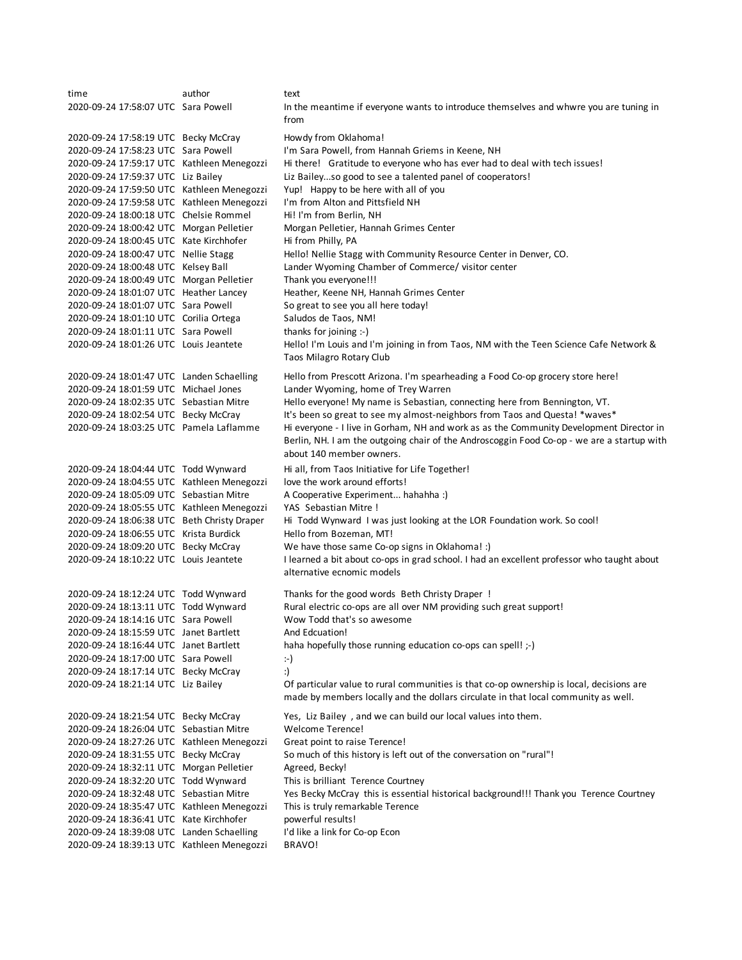time author text 2020-09-24 17:58:07 UTC Sara Powell 2020-09-24 17:58:19 UTC Becky McCray Howdy from Oklahoma! 2020-09-24 17:58:23 UTC Sara Powell I'm Sara Powell, from Hannah Griems in Keene, NH 2020-09-24 17:59:17 UTC Kathleen Menegozzi Hi there! Gratitude to everyone who has ever had to deal with tech issues! 2020-09-24 17:59:37 UTC Liz Bailey Liz Bailey...so good to see a talented panel of cooperators! 2020-09-24 17:59:50 UTC Kathleen Menegozzi Yup! Happy to be here with all of you 2020-09-24 17:59:58 UTC Kathleen Menegozzi I'm from Alton and Pittsfield NH 2020-09-24 18:00:18 UTC Chelsie Rommel Hi! I'm from Berlin, NH 2020-09-24 18:00:42 UTC Morgan Pelletier Morgan Pelletier, Hannah Grimes Center 2020-09-24 18:00:45 UTC Kate Kirchhofer Hi from Philly, PA<br>2020-09-24 18:00:47 UTC Nellie Stagg Hello! Nellie Stag Hello! Nellie Stagg with Community Resource Center in Denver, CO. 2020-09-24 18:00:48 UTC Kelsey Ball Lander Wyoming Chamber of Commerce/ visitor center 2020-09-24 18:00:49 UTC Morgan Pelletier Thank you everyone!!! 2020-09-24 18:01:07 UTC Heather Lancey Heather, Keene NH, Hannah Grimes Center 2020-09-24 18:01:07 UTC Sara Powell So great to see you all here today! 2020-09-24 18:01:10 UTC Corilia Ortega Saludos de Taos, NM! 2020-09-24 18:01:11 UTC Sara Powell thanks for joining :-) 2020-09-24 18:01:26 UTC Louis Jeantete 2020-09-24 18:01:47 UTC Landen Schaelling Hello from Prescott Arizona. I'm spearheading a Food Co-op grocery store here! 2020-09-24 18:01:59 UTC Michael Jones Lander Wyoming, home of Trey Warren 2020-09-24 18:02:35 UTC Sebastian Mitre Hello everyone! My name is Sebastian, connecting here from Bennington, VT. 2020-09-24 18:02:54 UTC Becky McCray It's been so great to see my almost-neighbors from Taos and Questa! \*waves\* 2020-09-24 18:03:25 UTC Pamela Laflamme 2020-09-24 18:04:44 UTC Todd Wynward Hi all, from Taos Initiative for Life Together! 2020-09-24 18:04:55 UTC Kathleen Menegozzi love the work around efforts! 2020-09-24 18:05:09 UTC Sebastian Mitre A Cooperative Experiment... hahahha :) 2020-09-24 18:05:55 UTC Kathleen Menegozzi YAS Sebastian Mitre ! 2020-09-24 18:06:38 UTC Beth Christy Draper Hi Todd Wynward I was just looking at the LOR Foundation work. So cool! 2020-09-24 18:06:55 UTC Krista Burdick Hello from Bozeman, MT! 2020-09-24 18:09:20 UTC Becky McCray We have those same Co-op signs in Oklahoma! :) 2020-09-24 18:10:22 UTC Louis Jeantete 2020-09-24 18:12:24 UTC Todd Wynward Thanks for the good words Beth Christy Draper ! 2020-09-24 18:13:11 UTC Todd Wynward Rural electric co-ops are all over NM providing such great support! 2020-09-24 18:14:16 UTC Sara Powell Wow Todd that's so awesome 2020-09-24 18:15:59 UTC Janet Bartlett And Edcuation! 2020-09-24 18:16:44 UTC Janet Bartlett haha hopefully those running education co-ops can spell! ;-) 2020-09-24 18:17:00 UTC Sara Powell :-) 2020-09-24 18:17:14 UTC Becky McCray :) 2020-09-24 18:21:14 UTC Liz Bailey 2020-09-24 18:21:54 UTC Becky McCray Yes, Liz Bailey , and we can build our local values into them. 2020-09-24 18:26:04 UTC Sebastian Mitre Welcome Terence! 2020-09-24 18:27:26 UTC Kathleen Menegozzi Great point to raise Terence! 2020-09-24 18:31:55 UTC Becky McCray So much of this history is left out of the conversation on "rural"! 2020-09-24 18:32:11 UTC Morgan Pelletier Agreed, Becky! 2020-09-24 18:32:20 UTC Todd Wynward This is brilliant Terence Courtney 2020-09-24 18:32:48 UTC Sebastian Mitre Yes Becky McCray this is essential historical background!!! Thank you Terence Courtney 2020-09-24 18:35:47 UTC Kathleen Menegozzi This is truly remarkable Terence 2020-09-24 18:36:41 UTC Kate Kirchhofer powerful results! 2020-09-24 18:39:08 UTC Landen Schaelling I'd like a link for Co-op Econ 2020-09-24 18:39:13 UTC Kathleen Menegozzi BRAVO! In the meantime if everyone wants to introduce themselves and whwre you are tuning in from Hello! I'm Louis and I'm joining in from Taos, NM with the Teen Science Cafe Network & Taos Milagro Rotary Club Hi everyone - I live in Gorham, NH and work as as the Community Development Director in Berlin, NH. I am the outgoing chair of the Androscoggin Food Co-op - we are a startup with about 140 member owners. I learned a bit about co-ops in grad school. I had an excellent professor who taught about alternative ecnomic models Of particular value to rural communities is that co-op ownership is local, decisions are made by members locally and the dollars circulate in that local community as well.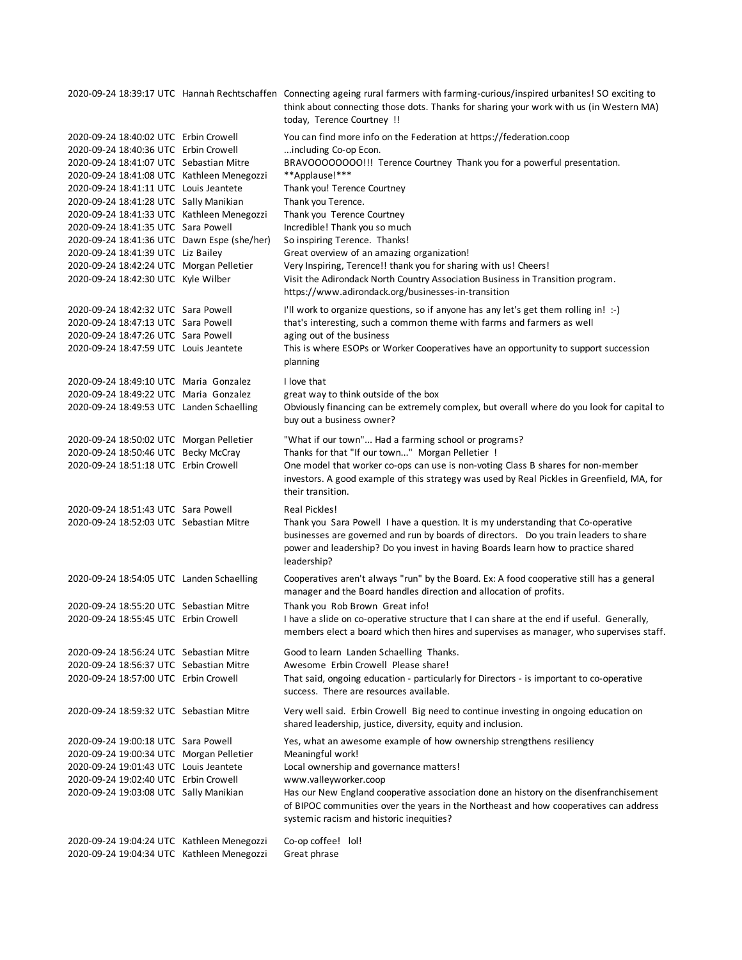2020-09-24 18:39:17 UTC Hannah Rechtschaffen Connecting ageing rural farmers with farming-curious/inspired urbanites! SO exciting to 2020-09-24 18:40:02 UTC Erbin Crowell You can find more info on the Federation at https://federation.coop 2020-09-24 18:40:36 UTC Erbin Crowell ...including Co-op Econ. 2020-09-24 18:41:07 UTC Sebastian Mitre BRAVOOOOOOOO!!! Terence Courtney Thank you for a powerful presentation. 2020-09-24 18:41:08 UTC Kathleen Menegozzi \*\*Applause!\*\*\* 2020-09-24 18:41:11 UTC Louis Jeantete Thank you! Terence Courtney 2020-09-24 18:41:28 UTC Sally Manikian Thank you Terence. 2020-09-24 18:41:33 UTC Kathleen Menegozzi Thank you Terence Courtney 2020-09-24 18:41:35 UTC Sara Powell Incredible! Thank you so much 2020-09-24 18:41:36 UTC Dawn Espe (she/her) So inspiring Terence. Thanks! 2020-09-24 18:41:39 UTC Liz Bailey Great overview of an amazing organization! 2020-09-24 18:42:24 UTC Morgan Pelletier Very Inspiring, Terence!! thank you for sharing with us! Cheers! 2020-09-24 18:42:30 UTC Kyle Wilber 2020-09-24 18:42:32 UTC Sara Powell I'll work to organize questions, so if anyone has any let's get them rolling in! :-) 2020-09-24 18:47:13 UTC Sara Powell that's interesting, such a common theme with farms and farmers as well 2020-09-24 18:47:26 UTC Sara Powell aging out of the business 2020-09-24 18:47:59 UTC Louis Jeantete 2020-09-24 18:49:10 UTC Maria Gonzalez I love that 2020-09-24 18:49:22 UTC Maria Gonzalez great way to think outside of the box 2020-09-24 18:49:53 UTC Landen Schaelling 2020-09-24 18:50:02 UTC Morgan Pelletier "What if our town"... Had a farming school or programs? 2020-09-24 18:50:46 UTC Becky McCray Thanks for that "If our town..." Morgan Pelletier ! 2020-09-24 18:51:18 UTC Erbin Crowell 2020-09-24 18:51:43 UTC Sara Powell Real Pickles! 2020-09-24 18:52:03 UTC Sebastian Mitre 2020-09-24 18:54:05 UTC Landen Schaelling 2020-09-24 18:55:20 UTC Sebastian Mitre Thank you Rob Brown Great info! 2020-09-24 18:55:45 UTC Erbin Crowell 2020-09-24 18:56:24 UTC Sebastian Mitre Good to learn Landen Schaelling Thanks. 2020-09-24 18:56:37 UTC Sebastian Mitre Awesome Erbin Crowell Please share! 2020-09-24 18:57:00 UTC Erbin Crowell 2020-09-24 18:59:32 UTC Sebastian Mitre 2020-09-24 19:00:18 UTC Sara Powell Yes, what an awesome example of how ownership strengthens resiliency 2020-09-24 19:00:34 UTC Morgan Pelletier Meaningful work! 2020-09-24 19:01:43 UTC Louis Jeantete Local ownership and governance matters! 2020-09-24 19:02:40 UTC Erbin Crowell www.valleyworker.coop 2020-09-24 19:03:08 UTC Sally Manikian 2020-09-24 19:04:24 UTC Kathleen Menegozzi Co-op coffee! lol! 2020-09-24 19:04:34 UTC Kathleen Menegozzi Great phrase I have a slide on co-operative structure that I can share at the end if useful. Generally, members elect a board which then hires and supervises as manager, who supervises staff. That said, ongoing education - particularly for Directors - is important to co-operative success. There are resources available. Very well said. Erbin Crowell Big need to continue investing in ongoing education on shared leadership, justice, diversity, equity and inclusion. Has our New England cooperative association done an history on the disenfranchisement of BIPOC communities over the years in the Northeast and how cooperatives can address systemic racism and historic inequities? Visit the Adirondack North Country Association Business in Transition program. https://www.adirondack.org/businesses-in-transition This is where ESOPs or Worker Cooperatives have an opportunity to support succession planning Obviously financing can be extremely complex, but overall where do you look for capital to buy out a business owner? One model that worker co-ops can use is non-voting Class B shares for non-member investors. A good example of this strategy was used by Real Pickles in Greenfield, MA, for their transition. Thank you Sara Powell I have a question. It is my understanding that Co-operative businesses are governed and run by boards of directors. Do you train leaders to share power and leadership? Do you invest in having Boards learn how to practice shared leadership? Cooperatives aren't always "run" by the Board. Ex: A food cooperative still has a general manager and the Board handles direction and allocation of profits. think about connecting those dots. Thanks for sharing your work with us (in Western MA) today, Terence Courtney !!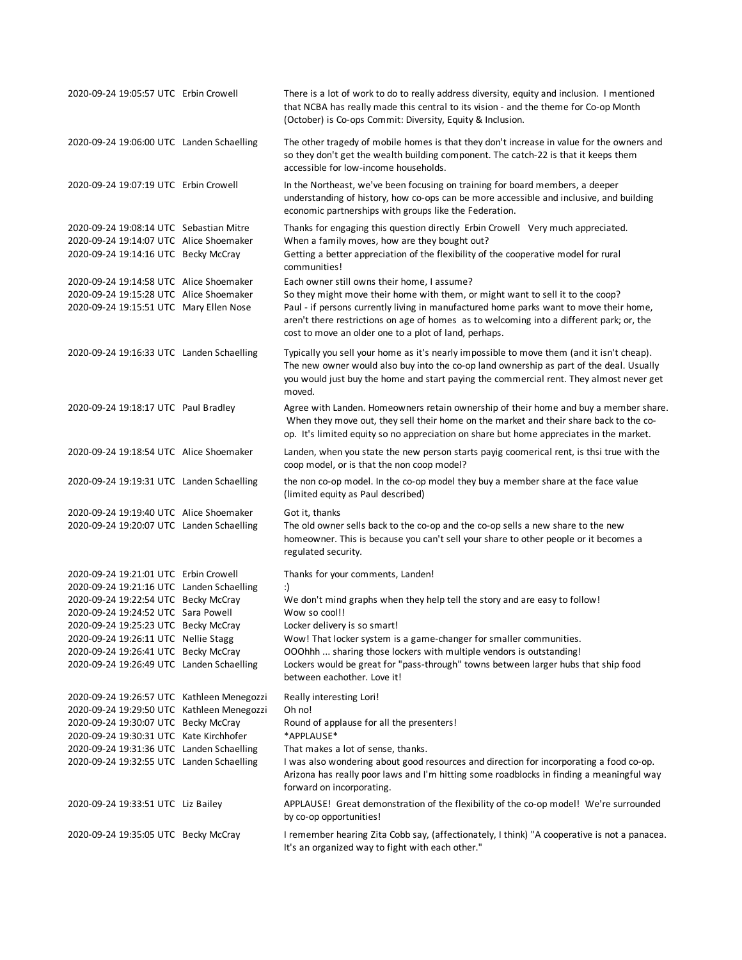| 2020-09-24 19:05:57 UTC Erbin Crowell                                                                                         | There is a lot of work to do to really address diversity, equity and inclusion. I mentioned<br>that NCBA has really made this central to its vision - and the theme for Co-op Month<br>(October) is Co-ops Commit: Diversity, Equity & Inclusion.                                                                                                                            |
|-------------------------------------------------------------------------------------------------------------------------------|------------------------------------------------------------------------------------------------------------------------------------------------------------------------------------------------------------------------------------------------------------------------------------------------------------------------------------------------------------------------------|
| 2020-09-24 19:06:00 UTC Landen Schaelling                                                                                     | The other tragedy of mobile homes is that they don't increase in value for the owners and<br>so they don't get the wealth building component. The catch-22 is that it keeps them<br>accessible for low-income households.                                                                                                                                                    |
| 2020-09-24 19:07:19 UTC Erbin Crowell                                                                                         | In the Northeast, we've been focusing on training for board members, a deeper<br>understanding of history, how co-ops can be more accessible and inclusive, and building<br>economic partnerships with groups like the Federation.                                                                                                                                           |
| 2020-09-24 19:08:14 UTC Sebastian Mitre<br>2020-09-24 19:14:07 UTC Alice Shoemaker<br>2020-09-24 19:14:16 UTC Becky McCray    | Thanks for engaging this question directly Erbin Crowell Very much appreciated.<br>When a family moves, how are they bought out?<br>Getting a better appreciation of the flexibility of the cooperative model for rural<br>communities!                                                                                                                                      |
| 2020-09-24 19:14:58 UTC Alice Shoemaker<br>2020-09-24 19:15:28 UTC Alice Shoemaker<br>2020-09-24 19:15:51 UTC Mary Ellen Nose | Each owner still owns their home, I assume?<br>So they might move their home with them, or might want to sell it to the coop?<br>Paul - if persons currently living in manufactured home parks want to move their home,<br>aren't there restrictions on age of homes as to welcoming into a different park; or, the<br>cost to move an older one to a plot of land, perhaps. |
| 2020-09-24 19:16:33 UTC Landen Schaelling                                                                                     | Typically you sell your home as it's nearly impossible to move them (and it isn't cheap).<br>The new owner would also buy into the co-op land ownership as part of the deal. Usually<br>you would just buy the home and start paying the commercial rent. They almost never get<br>moved.                                                                                    |
| 2020-09-24 19:18:17 UTC Paul Bradley                                                                                          | Agree with Landen. Homeowners retain ownership of their home and buy a member share.<br>When they move out, they sell their home on the market and their share back to the co-<br>op. It's limited equity so no appreciation on share but home appreciates in the market.                                                                                                    |
| 2020-09-24 19:18:54 UTC Alice Shoemaker                                                                                       | Landen, when you state the new person starts payig coomerical rent, is thsi true with the<br>coop model, or is that the non coop model?                                                                                                                                                                                                                                      |
| 2020-09-24 19:19:31 UTC Landen Schaelling                                                                                     | the non co-op model. In the co-op model they buy a member share at the face value<br>(limited equity as Paul described)                                                                                                                                                                                                                                                      |
| 2020-09-24 19:19:40 UTC Alice Shoemaker<br>2020-09-24 19:20:07 UTC Landen Schaelling                                          | Got it, thanks<br>The old owner sells back to the co-op and the co-op sells a new share to the new<br>homeowner. This is because you can't sell your share to other people or it becomes a<br>regulated security.                                                                                                                                                            |
| 2020-09-24 19:21:01 UTC Erbin Crowell                                                                                         | Thanks for your comments, Landen!                                                                                                                                                                                                                                                                                                                                            |
| 2020-09-24 19:21:16 UTC Landen Schaelling<br>2020-09-24 19:22:54 UTC Becky McCray                                             | :)<br>We don't mind graphs when they help tell the story and are easy to follow!                                                                                                                                                                                                                                                                                             |
| 2020-09-24 19:24:52 UTC Sara Powell                                                                                           | Wow so cool!!                                                                                                                                                                                                                                                                                                                                                                |
| 2020-09-24 19:25:23 UTC Becky McCray                                                                                          | Locker delivery is so smart!                                                                                                                                                                                                                                                                                                                                                 |
| 2020-09-24 19:26:11 UTC Nellie Stagg                                                                                          | Wow! That locker system is a game-changer for smaller communities.                                                                                                                                                                                                                                                                                                           |
| 2020-09-24 19:26:41 UTC Becky McCray<br>2020-09-24 19:26:49 UTC Landen Schaelling                                             | OOOhhh  sharing those lockers with multiple vendors is outstanding!<br>Lockers would be great for "pass-through" towns between larger hubs that ship food<br>between eachother. Love it!                                                                                                                                                                                     |
| 2020-09-24 19:26:57 UTC Kathleen Menegozzi                                                                                    | Really interesting Lori!                                                                                                                                                                                                                                                                                                                                                     |
| 2020-09-24 19:29:50 UTC Kathleen Menegozzi                                                                                    | Oh no!                                                                                                                                                                                                                                                                                                                                                                       |
| 2020-09-24 19:30:07 UTC Becky McCray<br>2020-09-24 19:30:31 UTC Kate Kirchhofer                                               | Round of applause for all the presenters!<br>*APPLAUSE*                                                                                                                                                                                                                                                                                                                      |
| 2020-09-24 19:31:36 UTC Landen Schaelling                                                                                     | That makes a lot of sense, thanks.                                                                                                                                                                                                                                                                                                                                           |
| 2020-09-24 19:32:55 UTC Landen Schaelling                                                                                     | I was also wondering about good resources and direction for incorporating a food co-op.<br>Arizona has really poor laws and I'm hitting some roadblocks in finding a meaningful way<br>forward on incorporating.                                                                                                                                                             |
| 2020-09-24 19:33:51 UTC Liz Bailey                                                                                            | APPLAUSE! Great demonstration of the flexibility of the co-op model! We're surrounded<br>by co-op opportunities!                                                                                                                                                                                                                                                             |
| 2020-09-24 19:35:05 UTC Becky McCray                                                                                          | I remember hearing Zita Cobb say, (affectionately, I think) "A cooperative is not a panacea.<br>It's an organized way to fight with each other."                                                                                                                                                                                                                             |